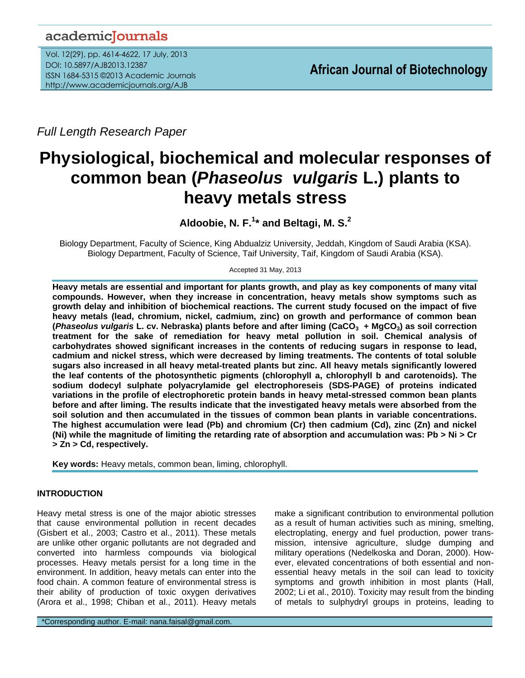# academicJournals

Vol. 12(29), pp. 4614-4622, 17 July, 2013 DOI: 10.5897/AJB2013.12387 ISSN 1684-5315 ©2013 Academic Journals http://www.academicjournals.org/AJB

*Full Length Research Paper*

# **Physiological, biochemical and molecular responses of common bean (***Phaseolus vulgaris* **L.) plants to heavy metals stress**

**Aldoobie, N. F. 1 \* and Beltagi, M. S. 2**

Biology Department, Faculty of Science, King Abdualziz University, Jeddah, Kingdom of Saudi Arabia (KSA). Biology Department, Faculty of Science, Taif University, Taif, Kingdom of Saudi Arabia (KSA).

Accepted 31 May, 2013

**Heavy metals are essential and important for plants growth, and play as key components of many vital compounds. However, when they increase in concentration, heavy metals show symptoms such as growth delay and inhibition of biochemical reactions. The current study focused on the impact of five heavy metals (lead, chromium, nickel, cadmium, zinc) on growth and performance of common bean (***Phaseolus vulgaris* **L. cv. Nebraska) plants before and after liming (CaCO3 + MgCO3) as soil correction treatment for the sake of remediation for heavy metal pollution in soil. Chemical analysis of carbohydrates showed significant increases in the contents of reducing sugars in response to lead, cadmium and nickel stress, which were decreased by liming treatments. The contents of total soluble sugars also increased in all heavy metal-treated plants but zinc. All heavy metals significantly lowered the leaf contents of the photosynthetic pigments (chlorophyll a, chlorophyll b and carotenoids). The sodium dodecyl sulphate polyacrylamide gel electrophoreseis (SDS-PAGE) of proteins indicated variations in the profile of electrophoretic protein bands in heavy metal-stressed common bean plants before and after liming. The results indicate that the investigated heavy metals were absorbed from the soil solution and then accumulated in the tissues of common bean plants in variable concentrations. The highest accumulation were lead (Pb) and chromium (Cr) then cadmium (Cd), zinc (Zn) and nickel (Ni) while the magnitude of limiting the retarding rate of absorption and accumulation was: Pb > Ni > Cr > Zn > Cd, respectively.**

**Key words:** Heavy metals, common bean, liming, chlorophyll.

# **INTRODUCTION**

Heavy metal stress is one of the major abiotic stresses that cause environmental pollution in recent decades (Gisbert et al., 2003; Castro et al., 2011). These metals are unlike other organic pollutants are not degraded and converted into harmless compounds via biological processes. Heavy metals persist for a long time in the environment. In addition, heavy metals can enter into the food chain. A common feature of environmental stress is their ability of production of toxic oxygen derivatives (Arora et al., 1998; Chiban et al., 2011). Heavy metals make a significant contribution to environmental pollution as a result of human activities such as mining, smelting, electroplating, energy and fuel production, power transmission, intensive agriculture, sludge dumping and military operations (Nedelkoska and Doran, 2000). However, elevated concentrations of both essential and nonessential heavy metals in the soil can lead to toxicity symptoms and growth inhibition in most plants (Hall, 2002; Li et al., 2010). Toxicity may result from the binding of metals to sulphydryl groups in proteins, leading to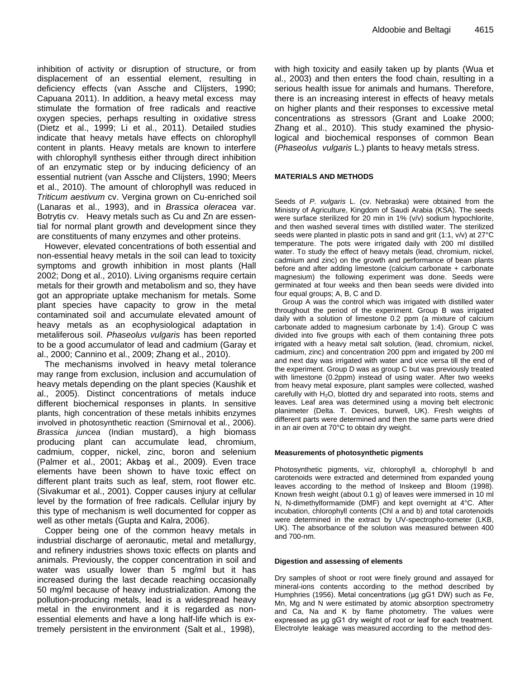inhibition of activity or disruption of structure, or from displacement of an essential element, resulting in deficiency effects (van Assche and Clíjsters, 1990; Capuana 2011). In addition, a heavy metal excess may stimulate the formation of free radicals and reactive oxygen species, perhaps resulting in oxidative stress (Dietz et al., 1999; Li et al., 2011). Detailed studies indicate that heavy metals have effects on chlorophyll content in plants. Heavy metals are known to interfere with chlorophyll synthesis either through direct inhibition of an enzymatic step or by inducing deficiency of an essential nutrient (van Assche and Clíjsters, 1990; Meers et al., 2010). The amount of chlorophyll was reduced in *Triticum aestivum* cv. Vergina grown on Cu-enriched soil (Lanaras et al., 1993), and in *Brassica oleracea* var. Botrytis cv. Heavy metals such as Cu and Zn are essential for normal plant growth and development since they are constituents of many enzymes and other proteins.

However, elevated concentrations of both essential and non-essential heavy metals in the soil can lead to toxicity symptoms and growth inhibition in most plants (Hall 2002; Dong et al., 2010). Living organisms require certain metals for their growth and metabolism and so, they have got an appropriate uptake mechanism for metals. Some plant species have capacity to grow in the metal contaminated soil and accumulate elevated amount of heavy metals as an ecophysiological adaptation in metaliferous soil. *Phaseolus vulgaris* has been reported to be a good accumulator of lead and cadmium (Garay et al., 2000; Cannino et al., 2009; Zhang et al., 2010).

The mechanisms involved in heavy metal tolerance may range from exclusion, inclusion and accumulation of heavy metals depending on the plant species (Kaushik et al., 2005). Distinct concentrations of metals induce different biochemical responses in plants. In sensitive plants, high concentration of these metals inhibits enzymes involved in photosynthetic reaction (Smirnoval et al., 2006). *Brassica juncea* (Indian mustard), a high biomass producing plant can accumulate lead, chromium, cadmium, copper, nickel, zinc, boron and selenium (Palmer et al., 2001; Akbaş et al., 2009). Even trace elements have been shown to have toxic effect on different plant traits such as leaf, stem, root flower etc. (Sivakumar et al., 2001). Copper causes injury at cellular level by the formation of free radicals. Cellular injury by this type of mechanism is well documented for copper as well as other metals (Gupta and Kalra, 2006).

Copper being one of the common heavy metals in industrial discharge of aeronautic, metal and metallurgy, and refinery industries shows toxic effects on plants and animals. Previously, the copper concentration in soil and water was usually lower than 5 mg/ml but it has increased during the last decade reaching occasionally 50 mg/ml because of heavy industrialization. Among the pollution-producing metals, lead is a widespread heavy metal in the environment and it is regarded as nonessential elements and have a long half-life which is extremely persistent in the environment (Salt et al., 1998),

with high toxicity and easily taken up by plants (Wua et al., 2003) and then enters the food chain, resulting in a serious health issue for animals and humans. Therefore, there is an increasing interest in effects of heavy metals on higher plants and their responses to excessive metal concentrations as stressors (Grant and Loake 2000; Zhang et al., 2010). This study examined the physiological and biochemical responses of common Bean (*Phaseolus vulgaris* L.) plants to heavy metals stress.

### **MATERIALS AND METHODS**

Seeds of *P. vulgaris* L. (cv. Nebraska) were obtained from the Ministry of Agriculture, Kingdom of Saudi Arabia (KSA). The seeds were surface sterilized for 20 min in 1% (v/v) sodium hypochlorite, and then washed several times with distilled water. The sterilized seeds were planted in plastic pots in sand and grit (1:1, v/v) at 27°C temperature. The pots were irrigated daily with 200 ml distilled water. To study the effect of heavy metals (lead, chromium, nickel, cadmium and zinc) on the growth and performance of bean plants before and after adding limestone (calcium carbonate + carbonate magnesium) the following experiment was done. Seeds were germinated at four weeks and then bean seeds were divided into four equal groups; A, B, C and D.

Group A was the control which was irrigated with distilled water throughout the period of the experiment. Group B was irrigated daily with a solution of limestone 0.2 ppm (a mixture of calcium carbonate added to magnesium carbonate by 1:4). Group C was divided into five groups with each of them containing three pots irrigated with a heavy metal salt solution, (lead, chromium, nickel, cadmium, zinc) and concentration 200 ppm and irrigated by 200 ml and next day was irrigated with water and vice versa till the end of the experiment. Group D was as group C but was previously treated with limestone (0.2ppm) instead of using water. After two weeks from heavy metal exposure, plant samples were collected, washed carefully with  $H_2O$ , blotted dry and separated into roots, stems and leaves. Leaf area was determined using a moving belt electronic planimeter (Delta. T. Devices, burwell, UK). Fresh weights of different parts were determined and then the same parts were dried in an air oven at 70°C to obtain dry weight.

#### **Measurements of photosynthetic pigments**

Photosynthetic pigments, viz, chlorophyll a, chlorophyll b and carotenoids were extracted and determined from expanded young leaves according to the method of Inskeep and Bloom (1998). Known fresh weight (about 0.1 g) of leaves were immersed in 10 ml N, N-dimethylformamide (DMF) and kept overnight at 4°C. After incubation, chlorophyll contents (Chl a and b) and total carotenoids were determined in the extract by UV-spectropho-tometer (LKB, UK). The absorbance of the solution was measured between 400 and 700-nm.

#### **Digestion and assessing of elements**

Dry samples of shoot or root were finely ground and assayed for mineral-ions contents according to the method described by Humphries (1956). Metal concentrations (μg gG1 DW) such as Fe, Mn, Mg and N were estimated by atomic absorption spectrometry and Ca, Na and K by flame photometry. The values were expressed as μg gG1 dry weight of root or leaf for each treatment. Electrolyte leakage was measured according to the method des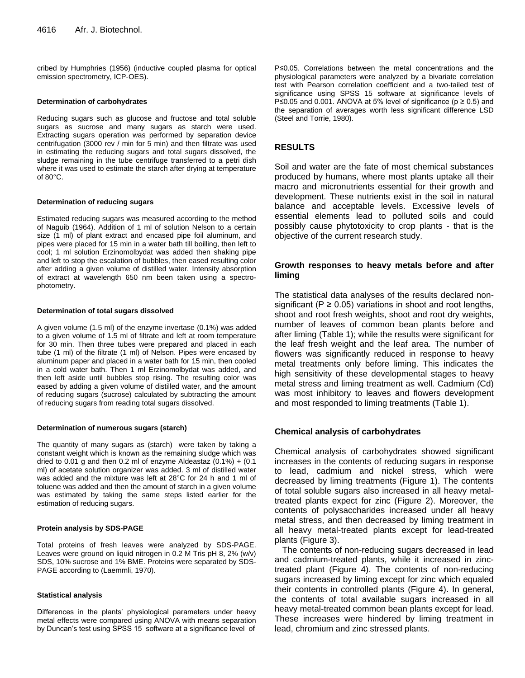cribed by Humphries (1956) (inductive coupled plasma for optical emission spectrometry, ICP-OES).

#### **Determination of carbohydrates**

Reducing sugars such as glucose and fructose and total soluble sugars as sucrose and many sugars as starch were used. Extracting sugars operation was performed by separation device centrifugation (3000 rev / min for 5 min) and then filtrate was used in estimating the reducing sugars and total sugars dissolved, the sludge remaining in the tube centrifuge transferred to a petri dish where it was used to estimate the starch after drying at temperature of  $80^{\circ}$ C.

#### **Determination of reducing sugars**

Estimated reducing sugars was measured according to the method of Naguib (1964). Addition of 1 ml of solution Nelson to a certain size (1 ml) of plant extract and encased pipe foil aluminum, and pipes were placed for 15 min in a water bath till boilling, then left to cool; 1 ml solution Erzinomolbydat was added then shaking pipe and left to stop the escalation of bubbles, then eased resulting color after adding a given volume of distilled water. Intensity absorption of extract at wavelength 650 nm been taken using a spectrophotometry.

#### **Determination of total sugars dissolved**

A given volume (1.5 ml) of the enzyme invertase (0.1%) was added to a given volume of 1.5 ml of filtrate and left at room temperature for 30 min. Then three tubes were prepared and placed in each tube (1 ml) of the filtrate (1 ml) of Nelson. Pipes were encased by aluminum paper and placed in a water bath for 15 min, then cooled in a cold water bath. Then 1 ml Erzinomolbydat was added, and then left aside until bubbles stop rising. The resulting color was eased by adding a given volume of distilled water, and the amount of reducing sugars (sucrose) calculated by subtracting the amount of reducing sugars from reading total sugars dissolved.

#### **Determination of numerous sugars (starch)**

The quantity of many sugars as (starch) were taken by taking a constant weight which is known as the remaining sludge which was dried to 0.01 g and then 0.2 ml of enzyme Aldeastaz  $(0.1\%) + (0.1$ ml) of acetate solution organizer was added. 3 ml of distilled water was added and the mixture was left at 28°C for 24 h and 1 ml of toluene was added and then the amount of starch in a given volume was estimated by taking the same steps listed earlier for the estimation of reducing sugars.

#### **Protein analysis by SDS-PAGE**

Total proteins of fresh leaves were analyzed by SDS-PAGE. Leaves were ground on liquid nitrogen in 0.2 M Tris pH 8, 2% (w/v) SDS, 10% sucrose and 1% BME. Proteins were separated by SDS-PAGE according to (Laemmli, 1970).

#### **Statistical analysis**

Differences in the plants' physiological parameters under heavy metal effects were compared using ANOVA with means separation by Duncan's test using SPSS 15 software at a significance level of

P*≤*0.05. Correlations between the metal concentrations and the physiological parameters were analyzed by a bivariate correlation test with Pearson correlation coefficient and a two-tailed test of significance using SPSS 15 software at significance levels of P*≤*0.05 and 0.001. ANOVA at 5% level of significance (p ≥ 0.5) and the separation of averages worth less significant difference LSD (Steel and Torrie, 1980).

# **RESULTS**

Soil and water are the fate of most chemical substances produced by humans, where most plants uptake all their macro and micronutrients essential for their growth and development. These nutrients exist in the soil in natural balance and acceptable levels. Excessive levels of essential elements lead to polluted soils and could possibly cause phytotoxicity to crop plants - that is the objective of the current research study.

# **Growth responses to heavy metals before and after liming**

The statistical data analyses of the results declared nonsignificant ( $P \ge 0.05$ ) variations in shoot and root lengths, shoot and root fresh weights, shoot and root dry weights, number of leaves of common bean plants before and after liming (Table 1); while the results were significant for the leaf fresh weight and the leaf area. The number of flowers was significantly reduced in response to heavy metal treatments only before liming. This indicates the high sensitivity of these developmental stages to heavy metal stress and liming treatment as well. Cadmium (Cd) was most inhibitory to leaves and flowers development and most responded to liming treatments (Table 1).

# **Chemical analysis of carbohydrates**

Chemical analysis of carbohydrates showed significant increases in the contents of reducing sugars in response to lead, cadmium and nickel stress, which were decreased by liming treatments (Figure 1). The contents of total soluble sugars also increased in all heavy metaltreated plants expect for zinc (Figure 2). Moreover, the contents of polysaccharides increased under all heavy metal stress, and then decreased by liming treatment in all heavy metal-treated plants except for lead-treated plants (Figure 3).

The contents of non-reducing sugars decreased in lead and cadmium-treated plants, while it increased in zinctreated plant (Figure 4). The contents of non-reducing sugars increased by liming except for zinc which equaled their contents in controlled plants (Figure 4). In general, the contents of total available sugars increased in all heavy metal-treated common bean plants except for lead. These increases were hindered by liming treatment in lead, chromium and zinc stressed plants.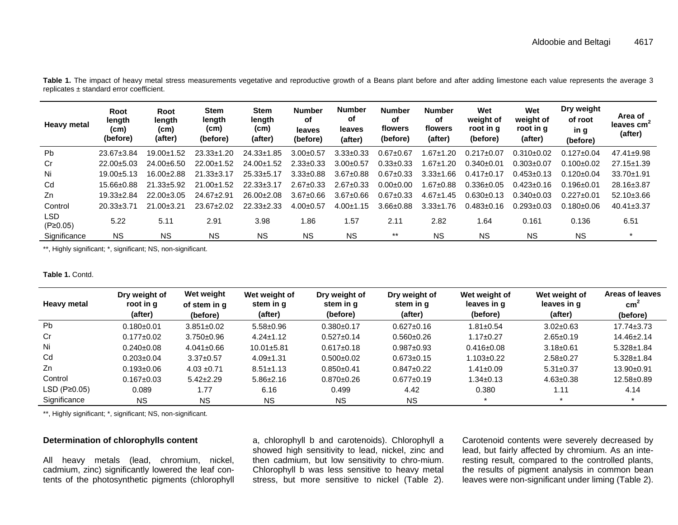| <b>Heavy metal</b>           | Root<br>length<br>(c <sub>m</sub> )<br>(before) | Root<br>length<br>(cm)<br>(after) | <b>Stem</b><br>length<br>(c <sub>m</sub> )<br>(before) | <b>Stem</b><br>length<br>(c <sub>m</sub> )<br>(after) | <b>Number</b><br>οf<br>leaves<br>(before) | <b>Number</b><br>οf<br>leaves<br>(after) | <b>Number</b><br>οf<br>flowers<br>(before) | <b>Number</b><br><b>of</b><br>flowers<br>(after) | Wet<br>weight of<br>root in a<br>(before) | Wet<br>weight of<br>root in q<br>(after) | Dry weight<br>of root<br>in g<br>(before) | Area of<br>leaves cm <sup>2</sup><br>(after) |
|------------------------------|-------------------------------------------------|-----------------------------------|--------------------------------------------------------|-------------------------------------------------------|-------------------------------------------|------------------------------------------|--------------------------------------------|--------------------------------------------------|-------------------------------------------|------------------------------------------|-------------------------------------------|----------------------------------------------|
| <b>Pb</b>                    | $23.67 \pm 3.84$                                | $19.00 \pm 1.52$                  | $23.33 \pm 1.20$                                       | $24.33 \pm 1.85$                                      | $3.00+0.57$                               | $3.33 \pm 0.33$                          | $0.67 + 0.67$                              | $.67 + 1.20$                                     | $0.217 \pm 0.07$                          | $0.310\pm0.02$                           | $0.127 \pm 0.04$                          | $47.41 \pm 9.98$                             |
| Cr                           | $22.00 \pm 5.03$                                | $24.00 + 6.50$                    | $22.00 \pm 1.52$                                       | $24.00 \pm 1.52$                                      | $2.33 \pm 0.33$                           | $3.00+0.57$                              | $0.33 \pm 0.33$                            | $.67 + 1.20$                                     | $0.340 \pm 0.01$                          | $0.303 \pm 0.07$                         | $0.100+0.02$                              | 27.15±1.39                                   |
| Ni                           | $19.00 + 5.13$                                  | $16.00 + 2.88$                    | $21.33 + 3.17$                                         | $25.33 + 5.17$                                        | $3.33 \pm 0.88$                           | $3.67 \pm 0.88$                          | $0.67 + 0.33$                              | $3.33 \pm 1.66$                                  | $0.417+0.17$                              | $0.453 \pm 0.13$                         | $0.120 \pm 0.04$                          | $33.70 \pm 1.91$                             |
| Cd                           | $15.66 \pm 0.88$                                | $21.33 \pm 5.92$                  | $21.00 \pm 1.52$                                       | $22.33 \pm 3.17$                                      | $2.67 \pm 0.33$                           | $2.67 \pm 0.33$                          | $0.00 + 0.00$                              | $0.67 + 0.88$                                    | $0.336 \pm 0.05$                          | $0.423 \pm 0.16$                         | $0.196 \pm 0.01$                          | 28.16±3.87                                   |
| Zn                           | $19.33 + 2.84$                                  | $22.00 \pm 3.05$                  | $24.67 + 2.91$                                         | $26.00 \pm 2.08$                                      | $3.67 \pm 0.66$                           | $3.67 \pm 0.66$                          | $0.67 + 0.33$                              | $4.67 \pm 1.45$                                  | $0.630+0.13$                              | $0.340 + 0.03$                           | $0.227 + 0.01$                            | $52.10 \pm 3.66$                             |
| Control                      | $20.33 \pm 3.71$                                | $21.00 + 3.21$                    | $23.67 + 2.02$                                         | $22.33 + 2.33$                                        | $4.00 \pm 0.57$                           | $4.00 \pm 1.15$                          | $3.66 + 0.88$                              | $3.33 \pm 1.76$                                  | $0.483+0.16$                              | $0.293 \pm 0.03$                         | $0.180+0.06$                              | $40.41 \pm 3.37$                             |
| <b>LSD</b><br>$(P \ge 0.05)$ | 5.22                                            | 5.11                              | 2.91                                                   | 3.98                                                  | 1.86                                      | 57. ا                                    | 2.11                                       | 2.82                                             | 1.64                                      | 0.161                                    | 0.136                                     | 6.51                                         |
| Significance                 | <b>NS</b>                                       | <b>NS</b>                         | <b>NS</b>                                              | <b>NS</b>                                             | <b>NS</b>                                 | <b>NS</b>                                | $***$                                      | ΝS                                               | <b>NS</b>                                 | <b>NS</b>                                | <b>NS</b>                                 |                                              |

Table 1. The impact of heavy metal stress measurements vegetative and reproductive growth of a Beans plant before and after adding limestone each value represents the average 3 replicates ± standard error coefficient.

\*\*, Highly significant; \*, significant; NS, non-significant.

#### **Table 1.** Contd.

| Heavy metal          | Dry weight of<br>root in q<br>(after) | Wet weight<br>of stem in q<br>(before) | Wet weight of<br>stem in g<br>(after) | Dry weight of<br>stem in q<br>(before) | Dry weight of<br>stem in g<br>(after) | Wet weight of<br>leaves in g<br>(before) | Wet weight of<br>leaves in q<br>(after) | Areas of leaves<br>cm <sup>2</sup><br>(before) |
|----------------------|---------------------------------------|----------------------------------------|---------------------------------------|----------------------------------------|---------------------------------------|------------------------------------------|-----------------------------------------|------------------------------------------------|
| <b>Pb</b>            | $0.180 + 0.01$                        | $3.851 \pm 0.02$                       | $5.58 \pm 0.96$                       | $0.380+0.17$                           | $0.627 \pm 0.16$                      | 1.81±0.54                                | $3.02 \pm 0.63$                         | $17.74 \pm 3.73$                               |
| Cr                   | $0.177 \pm 0.02$                      | $3.750 \pm 0.96$                       | $4.24 \pm 1.12$                       | $0.527 \pm 0.14$                       | $0.560 \pm 0.26$                      | $1.17 \pm 0.27$                          | $2.65 \pm 0.19$                         | $14.46 \pm 2.14$                               |
| Ni                   | $0.240 \pm 0.08$                      | $4.041 \pm 0.66$                       | $10.01 \pm 5.81$                      | $0.617 \pm 0.18$                       | $0.987 + 0.93$                        | $0.416 \pm 0.08$                         | $3.18 \pm 0.61$                         | $5.328 \pm 1.84$                               |
| Cd                   | $0.203 \pm 0.04$                      | $3.37 \pm 0.57$                        | $4.09 \pm 1.31$                       | $0.500 \pm 0.02$                       | $0.673 \pm 0.15$                      | 1.103±0.22                               | $2.58 + 0.27$                           | $5.328 \pm 1.84$                               |
| Zn                   | $0.193 \pm 0.06$                      | $4.03 \pm 0.71$                        | $8.51 \pm 1.13$                       | $0.850+0.41$                           | $0.847 \pm 0.22$                      | $1.41 \pm 0.09$                          | $5.31 \pm 0.37$                         | 13.90±0.91                                     |
| Control              | $0.167 \pm 0.03$                      | $5.42 \pm 2.29$                        | $5.86 \pm 2.16$                       | $0.870 \pm 0.26$                       | $0.677 \pm 0.19$                      | 1.34±0.13                                | $4.63 \pm 0.38$                         | $12.58 \pm 0.89$                               |
| LSD ( $P\geq 0.05$ ) | 0.089                                 | 1.77                                   | 6.16                                  | 0.499                                  | 4.42                                  | 0.380                                    | 1.11                                    | 4.14                                           |
| Significance         | NS.                                   | <b>NS</b>                              | <b>NS</b>                             | <b>NS</b>                              | ΝS                                    |                                          | $\star$                                 |                                                |

\*\*, Highly significant; \*, significant; NS, non-significant.

# **Determination of chlorophylls content**

All heavy metals (lead, chromium, nickel, cadmium, zinc) significantly lowered the leaf contents of the photosynthetic pigments (chlorophyll a, chlorophyll b and carotenoids). Chlorophyll a showed high sensitivity to lead, nickel, zinc and then cadmium, but low sensitivity to chro-mium. Chlorophyll b was less sensitive to heavy metal stress, but more sensitive to nickel (Table 2).

Carotenoid contents were severely decreased by lead, but fairly affected by chromium. As an interesting result, compared to the controlled plants, the results of pigment analysis in common bean leaves were non-significant under liming (Table 2).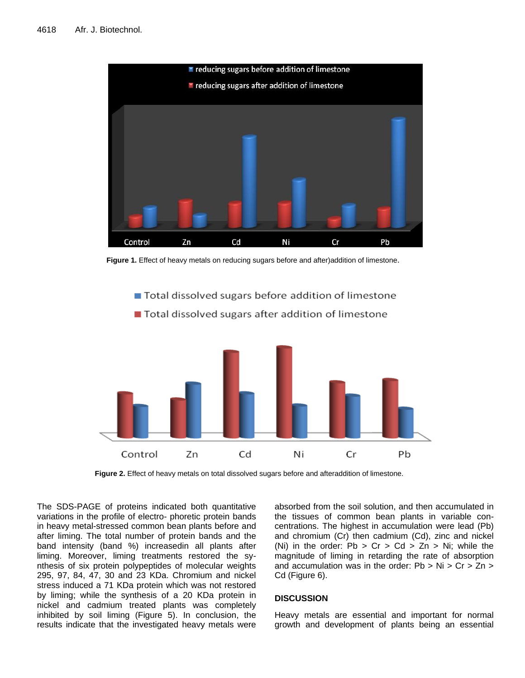

**Figure 1.** Effect of heavy metals on reducing sugars before and after)addition of limestone.



**Figure 2.** Effect of heavy metals on total dissolved sugars before and afteraddition of limestone.

The SDS-PAGE of proteins indicated both quantitative variations in the profile of electro- phoretic protein bands in heavy metal-stressed common bean plants before and after liming. The total number of protein bands and the band intensity (band %) increasedin all plants after liming. Moreover, liming treatments restored the synthesis of six protein polypeptides of molecular weights 295, 97, 84, 47, 30 and 23 KDa. Chromium and nickel stress induced a 71 KDa protein which was not restored by liming; while the synthesis of a 20 KDa protein in nickel and cadmium treated plants was completely inhibited by soil liming (Figure 5). In conclusion, the results indicate that the investigated heavy metals were

absorbed from the soil solution, and then accumulated in the tissues of common bean plants in variable concentrations. The highest in accumulation were lead (Pb) and chromium (Cr) then cadmium (Cd), zinc and nickel (Ni) in the order: Pb > Cr > Cd > Zn > Ni; while the magnitude of liming in retarding the rate of absorption and accumulation was in the order:  $Pb > Ni > Cr > Zn >$ Cd (Figure 6).

# **DISCUSSION**

Heavy metals are essential and important for normal growth and development of plants being an essential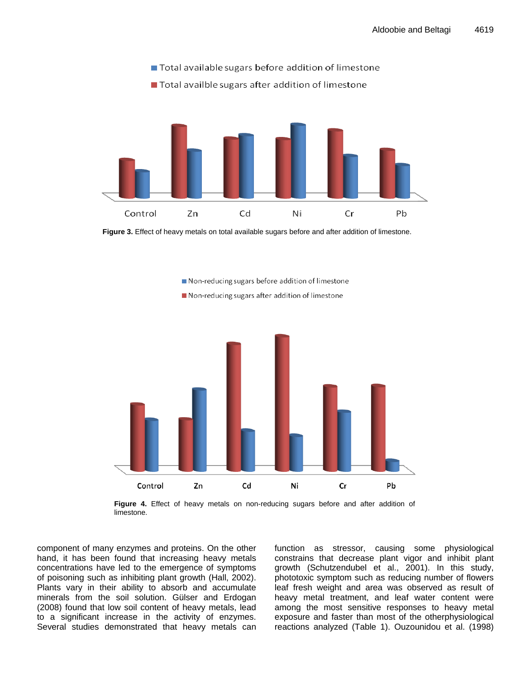





**Figure 3.** Effect of heavy metals on total available sugars before and after addition of limestone.

Non-reducing sugars before addition of limestone

Non-reducing sugars after addition of limestone



**Figure 4.** Effect of heavy metals on non-reducing sugars before and after addition of limestone.

component of many enzymes and proteins. On the other hand, it has been found that increasing heavy metals concentrations have led to the emergence of symptoms of poisoning such as inhibiting plant growth (Hall, 2002). Plants vary in their ability to absorb and accumulate minerals from the soil solution. Gülser and Erdogan (2008) found that low soil content of heavy metals, lead to a significant increase in the activity of enzymes. Several studies demonstrated that heavy metals can function as stressor, causing some physiological constrains that decrease plant vigor and inhibit plant growth (Schutzendubel et al., 2001). In this study, phototoxic symptom such as reducing number of flowers leaf fresh weight and area was observed as result of heavy metal treatment, and leaf water content were among the most sensitive responses to heavy metal exposure and faster than most of the otherphysiological reactions analyzed (Table 1). Ouzounidou et al. (1998)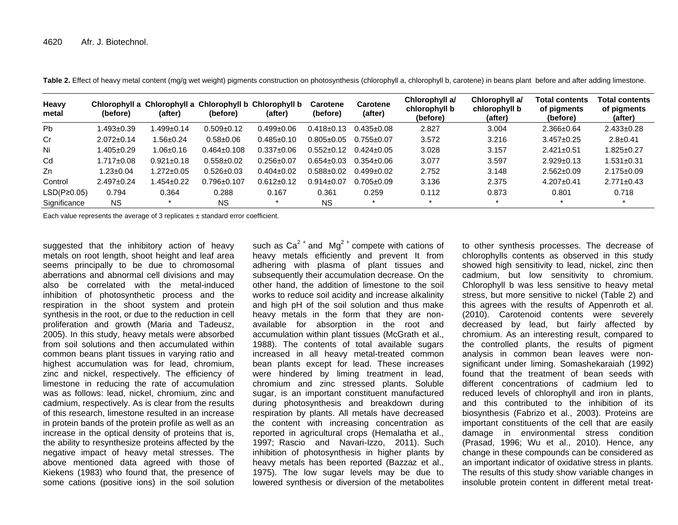| Heavy<br>metal    | (before)         | (after)          | Chlorophyll a Chlorophyll a Chlorophyll b Chlorophyll b<br>(before) | (after)          | <b>Carotene</b><br>(before) | Carotene<br>(after) | Chlorophyll a/<br>chlorophyll b<br>(before) | Chlorophyll a/<br>chlorophyll b<br>(after) | <b>Total contents</b><br>of pigments<br>(before) | Total contents<br>of pigments<br>(after) |
|-------------------|------------------|------------------|---------------------------------------------------------------------|------------------|-----------------------------|---------------------|---------------------------------------------|--------------------------------------------|--------------------------------------------------|------------------------------------------|
| Pb.               | 1.493±0.39       | $.499 \pm 0.14$  | $0.509 \pm 0.12$                                                    | $0.499 + 0.06$   | $0.418 \pm 0.13$            | $0.435 \pm 0.08$    | 2.827                                       | 3.004                                      | $2.366 \pm 0.64$                                 | $2.433 \pm 0.28$                         |
| Cr                | $2.072 \pm 0.14$ | 1.56±0.24        | $0.58 + 0.06$                                                       | $0.485 \pm 0.10$ | $0.805 \pm 0.05$            | $0.755 \pm 0.07$    | 3.572                                       | 3.216                                      | $3.457 \pm 0.25$                                 | $2.8 \pm 0.41$                           |
| Ni                | 1.405±0.29       | $1.06 \pm 0.16$  | $0.464 \pm 0.108$                                                   | 0.337±0.06       | $0.552 \pm 0.12$            | $0.424 + 0.05$      | 3.028                                       | 3.157                                      | $2.421 \pm 0.51$                                 | $1.825 \pm 0.27$                         |
| Cd                | $1.717 \pm 0.08$ | $0.921 \pm 0.18$ | $0.558 \pm 0.02$                                                    | $0.256 \pm 0.07$ | $0.654 \pm 0.03$            | $0.354 \pm 0.06$    | 3.077                                       | 3.597                                      | $2.929 \pm 0.13$                                 | $1.531 \pm 0.31$                         |
| Zn                | $1.23 \pm 0.04$  | 1.272±0.05       | $0.526 \pm 0.03$                                                    | $0.404 \pm 0.02$ | $0.588 + 0.02$              | $0.499 \pm 0.02$    | 2.752                                       | 3.148                                      | $2.562 \pm 0.09$                                 | $2.175 \pm 0.09$                         |
| Control           | $2.497 \pm 0.24$ | $.454 \pm 0.22$  | $0.796 \pm 0.107$                                                   | $0.612 \pm 0.12$ | $0.914 \pm 0.07$            | $0.705 \pm 0.09$    | 3.136                                       | 2.375                                      | $4.207 \pm 0.41$                                 | $2.771 \pm 0.43$                         |
| $LSD(P\geq 0.05)$ | 0.794            | 0.364            | 0.288                                                               | 0.167            | 0.361                       | 0.259               | 0.112                                       | 0.873                                      | 0.801                                            | 0.718                                    |
| Significance      | <b>NS</b>        |                  | NS                                                                  |                  | <b>NS</b>                   |                     |                                             |                                            | $\star$                                          |                                          |

Table 2. Effect of heavy metal content (mg/g wet weight) pigments construction on photosynthesis (chlorophyll a, chlorophyll b, carotene) in beans plant before and after adding limestone.

Each value represents the average of 3 replicates  $\pm$  standard error coefficient.

suggested that the inhibitory action of heavy metals on root length, shoot height and leaf area seems principally to be due to chromosomal aberrations and abnormal cell divisions and may also be correlated with the metal-induced inhibition of photosynthetic process and the respiration in the shoot system and protein synthesis in the root, or due to the reduction in cell proliferation and growth (Maria and Tadeusz, 2005). In this study, heavy metals were absorbed from soil solutions and then accumulated within common beans plant tissues in varying ratio and highest accumulation was for lead, chromium, zinc and nickel, respectively. The efficiency of limestone in reducing the rate of accumulation was as follows: lead, nickel, chromium, zinc and cadmium, respectively. As is clear from the results of this research, limestone resulted in an increase in protein bands of the protein profile as well as an increase in the optical density of proteins that is, the ability to resynthesize proteins affected by the negative impact of heavy metal stresses. The above mentioned data agreed with those of Kiekens (1983) who found that, the presence of some cations (positive ions) in the soil solution

such as  $Ca^{2+}$  and  $Mg^{2+}$  compete with cations of heavy metals efficiently and prevent It from adhering with plasma of plant tissues and subsequently their accumulation decrease. On the other hand, the addition of limestone to the soil works to reduce soil acidity and increase alkalinity and high pH of the soil solution and thus make heavy metals in the form that they are nonavailable for absorption in the root and accumulation within plant tissues (McGrath et al., 1988). The contents of total available sugars increased in all heavy metal-treated common bean plants except for lead. These increases were hindered by liming treatment in lead, chromium and zinc stressed plants. Soluble sugar, is an important constituent manufactured during photosynthesis and breakdown during respiration by plants. All metals have decreased the content with increasing concentration as reported in agricultural crops (Hemalatha et al., 1997; [Rascio](http://www.ncbi.nlm.nih.gov/pubmed?term=%22Rascio%20N%22%5BAuthor%5D) and [Navari-Izzo,](http://www.ncbi.nlm.nih.gov/pubmed?term=%22Navari-Izzo%20F%22%5BAuthor%5D) 2011). Such inhibition of photosynthesis in higher plants by heavy metals has been reported (Bazzaz et al., 1975). The low sugar levels may be due to lowered synthesis or diversion of the metabolites

to other synthesis processes. The decrease of chlorophylls contents as observed in this study showed high sensitivity to lead, nickel, zinc then cadmium, but low sensitivity to chromium. Chlorophyll b was less sensitive to heavy metal stress, but more sensitive to nickel (Table 2) and this agrees with the results of Appenroth et al. (2010). Carotenoid contents were severely decreased by lead, but fairly affected by chromium. As an interesting result, compared to the controlled plants, the results of pigment analysis in common bean leaves were nonsignificant under liming. Somashekaraiah (1992) found that the treatment of bean seeds with different concentrations of cadmium led to reduced levels of chlorophyll and iron in plants, and this contributed to the inhibition of its biosynthesis (Fabrizo et al., 2003). Proteins are important constituents of the cell that are easily damage in environmental stress condition (Prasad, 1996; Wu et al., 2010). Hence, any change in these compounds can be considered as an important indicator of oxidative stress in plants. The results of this study show variable changes in insoluble protein content in different metal treat-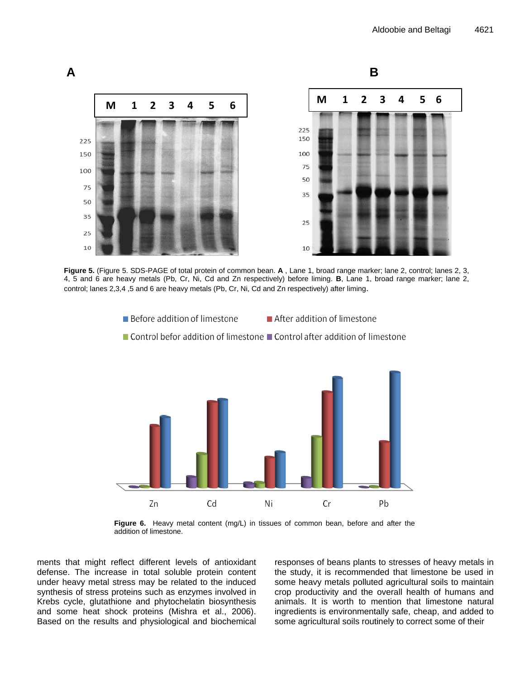

**Figure 5.** (Figure 5. SDS-PAGE of total protein of common bean. **A** , Lane 1, broad range marker; lane 2, control; lanes 2, 3, 4, 5 and 6 are heavy metals (Pb, Cr, Ni, Cd and Zn respectively) before liming. **B**, Lane 1, broad range marker; lane 2, control; lanes 2,3,4 ,5 and 6 are heavy metals (Pb, Cr, Ni, Cd and Zn respectively) after liming.



**Figure 6.** Heavy metal content (mg/L) in tissues of common bean, before and after the addition of limestone.

ments that might reflect different levels of antioxidant defense. The increase in total soluble protein content under heavy metal stress may be related to the induced synthesis of stress proteins such as enzymes involved in Krebs cycle, glutathione and phytochelatin biosynthesis and some heat shock proteins (Mishra et al., 2006). Based on the results and physiological and biochemical

responses of beans plants to stresses of heavy metals in the study, it is recommended that limestone be used in some heavy metals polluted agricultural soils to maintain crop productivity and the overall health of humans and animals. It is worth to mention that limestone natural ingredients is environmentally safe, cheap, and added to some agricultural soils routinely to correct some of their